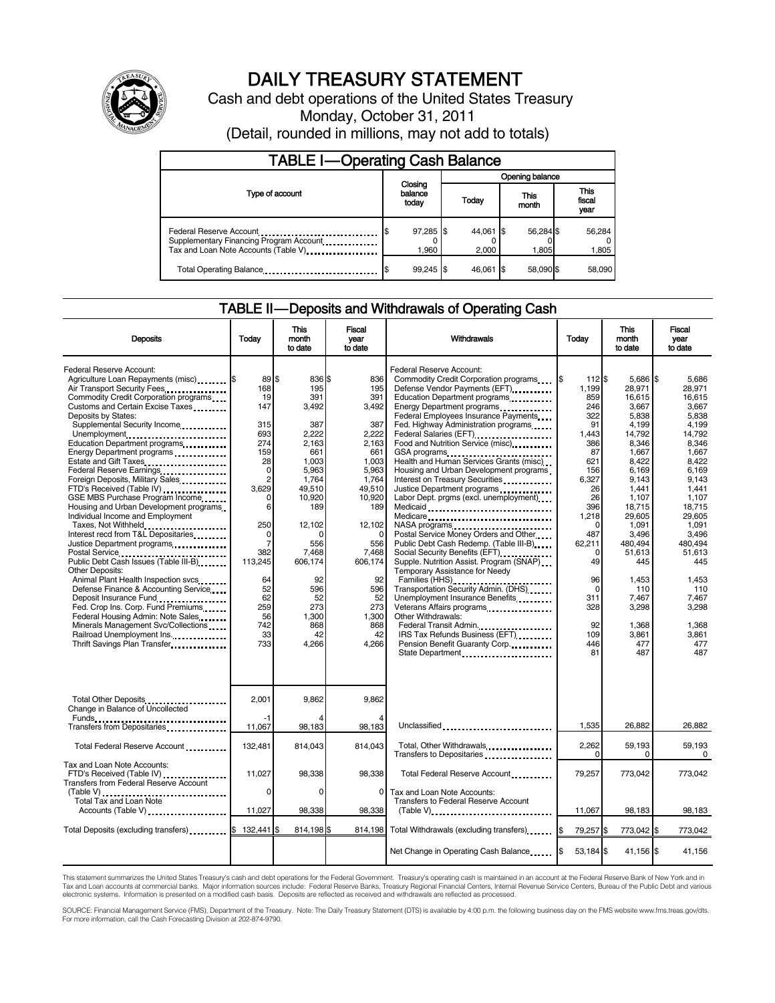

# DAILY TREASURY STATEMENT

Cash and debt operations of the United States Treasury Monday, October 31, 2011 (Detail, rounded in millions, may not add to totals)

| <b>TABLE I-Operating Cash Balance</b>                                                                       |                             |                    |                    |                               |  |  |  |  |  |
|-------------------------------------------------------------------------------------------------------------|-----------------------------|--------------------|--------------------|-------------------------------|--|--|--|--|--|
|                                                                                                             |                             | Opening balance    |                    |                               |  |  |  |  |  |
| Type of account                                                                                             | Closing<br>balance<br>today | Today              | This<br>month      | <b>This</b><br>fiscal<br>vear |  |  |  |  |  |
| Federal Reserve Account<br>Supplementary Financing Program Account<br>Tax and Loan Note Accounts (Table V). | 97,285 \$<br>1.960          | 44,061 \$<br>2.000 | 56,284 \$<br>1.805 | 56,284<br>1,805               |  |  |  |  |  |
| Total Operating Balance                                                                                     | $99,245$ \$                 | 46.061 \$          | 58.090 \$          | 58,090                        |  |  |  |  |  |

## TABLE II — Deposits and Withdrawals of Operating Cash

| <b>Deposits</b>                                                                                                                                                                                                                                                                                                                                                                                                                                                                                                                                                                                                                                                                                                                                                                                                                                                                                                                                                                                                                                                                     | Todav                                                                                                                                                                                                           | This<br>month<br>to date                                                                                                                                                                                          | <b>Fiscal</b><br>year<br>to date                                                                                                                                                                                           | Withdrawals                                                                                                                                                                                                                                                                                                                                                                                                                                                                                                                                                                                                                                                                                                                                                                                                                                                                                                                                                                                                                                                                                  | Today                                                                                                                                                                                                                               | <b>This</b><br>month<br>to date                                                                                                                                                                                                                                      | Fiscal<br>vear<br>to date                                                                                                                                                                                                                                         |
|-------------------------------------------------------------------------------------------------------------------------------------------------------------------------------------------------------------------------------------------------------------------------------------------------------------------------------------------------------------------------------------------------------------------------------------------------------------------------------------------------------------------------------------------------------------------------------------------------------------------------------------------------------------------------------------------------------------------------------------------------------------------------------------------------------------------------------------------------------------------------------------------------------------------------------------------------------------------------------------------------------------------------------------------------------------------------------------|-----------------------------------------------------------------------------------------------------------------------------------------------------------------------------------------------------------------|-------------------------------------------------------------------------------------------------------------------------------------------------------------------------------------------------------------------|----------------------------------------------------------------------------------------------------------------------------------------------------------------------------------------------------------------------------|----------------------------------------------------------------------------------------------------------------------------------------------------------------------------------------------------------------------------------------------------------------------------------------------------------------------------------------------------------------------------------------------------------------------------------------------------------------------------------------------------------------------------------------------------------------------------------------------------------------------------------------------------------------------------------------------------------------------------------------------------------------------------------------------------------------------------------------------------------------------------------------------------------------------------------------------------------------------------------------------------------------------------------------------------------------------------------------------|-------------------------------------------------------------------------------------------------------------------------------------------------------------------------------------------------------------------------------------|----------------------------------------------------------------------------------------------------------------------------------------------------------------------------------------------------------------------------------------------------------------------|-------------------------------------------------------------------------------------------------------------------------------------------------------------------------------------------------------------------------------------------------------------------|
| Federal Reserve Account:<br>Agriculture Loan Repayments (misc). S<br>Air Transport Security Fees<br>Commodity Credit Corporation programs<br>Customs and Certain Excise Taxes<br>Deposits by States:<br>Supplemental Security Income<br>Unemployment<br>Education Department programs<br>Energy Department programs<br>Estate and Gift Taxes<br><br>Federal Reserve Earnings<br>Foreign Deposits, Military Sales<br>FTD's Received (Table IV)<br>GSE MBS Purchase Program Income<br>Housing and Urban Development programs<br>Individual Income and Employment<br>Taxes, Not Withheld<br>Interest recd from T&L Depositaries<br>Justice Department programs<br>Postal Service<br>Public Debt Cash Issues (Table III-B)<br>The Line of Cash Issues (Table III-B)<br><b>Other Deposits:</b><br>Animal Plant Health Inspection svcs.<br>Defense Finance & Accounting Service<br>Deposit Insurance Fund<br>Fed. Crop Ins. Corp. Fund Premiums<br>Federal Housing Admin: Note Sales<br>Minerals Management Svc/Collections<br>Railroad Unemployment Ins.<br>Thrift Savings Plan Transfer | 89 \$<br>168<br>19<br>147<br>315<br>693<br>274<br>159<br>28<br>0<br>$\overline{2}$<br>3.629<br>$\Omega$<br>6<br>250<br>0<br>$\overline{7}$<br>382<br>113,245<br>64<br>52<br>62<br>259<br>56<br>742<br>33<br>733 | 836 \$<br>195<br>391<br>3,492<br>387<br>2,222<br>2,163<br>661<br>1.003<br>5,963<br>1.764<br>49.510<br>10,920<br>189<br>12.102<br>556<br>7,468<br>606,174<br>92<br>596<br>52<br>273<br>1.300<br>868<br>42<br>4,266 | 836<br>195<br>391<br>3,492<br>387<br>2,222<br>2,163<br>661<br>1.003<br>5.963<br>1,764<br>49.510<br>10,920<br>189<br>12.102<br>$\Omega$<br>556<br>7,468<br>606,174<br>92<br>596<br>52<br>273<br>1,300<br>868<br>42<br>4,266 | Federal Reserve Account:<br>Commodity Credit Corporation programs<br>Defense Vendor Payments (EFT)<br>Education Department programs<br>Energy Department programs<br>Federal Employees Insurance Payments<br>Fed. Highway Administration programs<br>Federal Salaries (EFT)<br>Food and Nutrition Service (misc)<br>GSA programs<br>Health and Human Services Grants (misc)<br>Housing and Urban Development programs<br>Interest on Treasury Securities<br>Justice Department programs<br>Labor Dept. prgms (excl. unemployment)<br>Medicaid<br>Medicare<br>NASA programs<br>Postal Service Money Orders and Other<br>Public Debt Cash Redemp. (Table III-B)<br>Social Security Benefits (EFT)<br>1991 - The Social Security Benefits (EFT)<br>Supple. Nutrition Assist. Program (SNAP)<br>Temporary Assistance for Needy<br>Families (HHS)<br>Transportation Security Admin. (DHS)<br>Unemployment Insurance Benefits<br>Veterans Affairs programs<br>Other Withdrawals:<br>Federal Transit Admin.<br>IRS Tax Refunds Business (EFT)<br>Pension Benefit Guaranty Corp.<br>State Department | I\$<br>112 \$<br>1.199<br>859<br>246<br>322<br>91<br>1,443<br>386<br>87<br>621<br>156<br>6,327<br>26<br>26<br>396<br>1,218<br>$\Omega$<br>487<br>62,211<br>$\Omega$<br>49<br>96<br>$\Omega$<br>311<br>328<br>92<br>109<br>446<br>81 | 5,686 \$<br>28.971<br>16,615<br>3,667<br>5.838<br>4.199<br>14,792<br>8,346<br>1,667<br>8.422<br>6.169<br>9.143<br>1.441<br>1,107<br>18.715<br>29.605<br>1.091<br>3,496<br>480.494<br>51,613<br>445<br>1,453<br>110<br>7,467<br>3,298<br>1,368<br>3,861<br>477<br>487 | 5.686<br>28.971<br>16.615<br>3.667<br>5.838<br>4.199<br>14,792<br>8,346<br>1,667<br>8.422<br>6.169<br>9.143<br>1.441<br>1.107<br>18.715<br>29.605<br>1.091<br>3,496<br>480.494<br>51.613<br>445<br>1,453<br>110<br>7,467<br>3.298<br>1,368<br>3,861<br>477<br>487 |
| Total Other Deposits<br>Change in Balance of Uncollected<br>Transfers from Depositaries                                                                                                                                                                                                                                                                                                                                                                                                                                                                                                                                                                                                                                                                                                                                                                                                                                                                                                                                                                                             | 2,001<br>11,067                                                                                                                                                                                                 | 9,862<br>98,183                                                                                                                                                                                                   | 9,862<br>98,183                                                                                                                                                                                                            | Unclassified                                                                                                                                                                                                                                                                                                                                                                                                                                                                                                                                                                                                                                                                                                                                                                                                                                                                                                                                                                                                                                                                                 | 1,535                                                                                                                                                                                                                               | 26,882                                                                                                                                                                                                                                                               | 26,882                                                                                                                                                                                                                                                            |
| Total Federal Reserve Account                                                                                                                                                                                                                                                                                                                                                                                                                                                                                                                                                                                                                                                                                                                                                                                                                                                                                                                                                                                                                                                       | 132,481                                                                                                                                                                                                         | 814,043                                                                                                                                                                                                           | 814.043                                                                                                                                                                                                                    | Total, Other Withdrawals                                                                                                                                                                                                                                                                                                                                                                                                                                                                                                                                                                                                                                                                                                                                                                                                                                                                                                                                                                                                                                                                     | 2,262<br>$\Omega$                                                                                                                                                                                                                   | 59,193                                                                                                                                                                                                                                                               | 59,193                                                                                                                                                                                                                                                            |
| Tax and Loan Note Accounts:<br>FTD's Received (Table IV)<br><b>Transfers from Federal Reserve Account</b>                                                                                                                                                                                                                                                                                                                                                                                                                                                                                                                                                                                                                                                                                                                                                                                                                                                                                                                                                                           | 11,027<br>$\Omega$                                                                                                                                                                                              | 98,338<br>$\Omega$                                                                                                                                                                                                | 98,338<br>$\Omega$                                                                                                                                                                                                         | Transfers to Depositaries<br>Total Federal Reserve Account<br>Tax and Loan Note Accounts:                                                                                                                                                                                                                                                                                                                                                                                                                                                                                                                                                                                                                                                                                                                                                                                                                                                                                                                                                                                                    | 79,257                                                                                                                                                                                                                              | 0<br>773,042                                                                                                                                                                                                                                                         | 0<br>773,042                                                                                                                                                                                                                                                      |
| <b>Total Tax and Loan Note</b><br>Accounts (Table V)                                                                                                                                                                                                                                                                                                                                                                                                                                                                                                                                                                                                                                                                                                                                                                                                                                                                                                                                                                                                                                | 11,027                                                                                                                                                                                                          | 98,338                                                                                                                                                                                                            | 98,338                                                                                                                                                                                                                     | <b>Transfers to Federal Reserve Account</b><br>$(Table V)$ , $\ldots$ , $\ldots$ , $\ldots$ , $\ldots$ , $\ldots$ , $\ldots$ , $\ldots$ , $\ldots$ , $\ldots$                                                                                                                                                                                                                                                                                                                                                                                                                                                                                                                                                                                                                                                                                                                                                                                                                                                                                                                                | 11,067                                                                                                                                                                                                                              | 98,183                                                                                                                                                                                                                                                               | 98,183                                                                                                                                                                                                                                                            |
| Total Deposits (excluding transfers) \$                                                                                                                                                                                                                                                                                                                                                                                                                                                                                                                                                                                                                                                                                                                                                                                                                                                                                                                                                                                                                                             | 132.441 \$                                                                                                                                                                                                      | 814,198 \$                                                                                                                                                                                                        | 814,198                                                                                                                                                                                                                    | Total Withdrawals (excluding transfers) [\$                                                                                                                                                                                                                                                                                                                                                                                                                                                                                                                                                                                                                                                                                                                                                                                                                                                                                                                                                                                                                                                  | 79,257 \$                                                                                                                                                                                                                           | 773,042 \$                                                                                                                                                                                                                                                           | 773,042                                                                                                                                                                                                                                                           |
|                                                                                                                                                                                                                                                                                                                                                                                                                                                                                                                                                                                                                                                                                                                                                                                                                                                                                                                                                                                                                                                                                     |                                                                                                                                                                                                                 |                                                                                                                                                                                                                   |                                                                                                                                                                                                                            | Net Change in Operating Cash Balance                                                                                                                                                                                                                                                                                                                                                                                                                                                                                                                                                                                                                                                                                                                                                                                                                                                                                                                                                                                                                                                         | $53,184$ \$                                                                                                                                                                                                                         | 41,156 \$                                                                                                                                                                                                                                                            | 41.156                                                                                                                                                                                                                                                            |

This statement summarizes the United States Treasury's cash and debt operations for the Federal Government. Treasury's operating cash is maintained in an account at the Federal Reserve Bank of New York and in<br>Tax and Loan

SOURCE: Financial Management Service (FMS), Department of the Treasury. Note: The Daily Treasury Statement (DTS) is available by 4:00 p.m. the following business day on the FMS website www.fms.treas.gov/dts.<br>For more infor